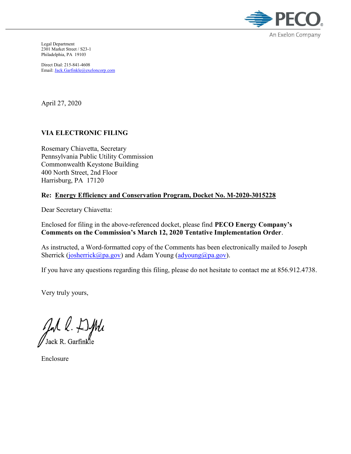

Legal Department 2301 Market Street / S23-1 Philadelphia, PA 19103

Direct Dial: 215-841-4608 Email: Jack.Garfinkle@exeloncorp.com

April 27, 2020

# VIA ELECTRONIC FILING

Rosemary Chiavetta, Secretary Pennsylvania Public Utility Commission Commonwealth Keystone Building 400 North Street, 2nd Floor Harrisburg, PA 17120

# Re: Energy Efficiency and Conservation Program, Docket No. M-2020-3015228

Dear Secretary Chiavetta:

Enclosed for filing in the above-referenced docket, please find PECO Energy Company's Comments on the Commission's March 12, 2020 Tentative Implementation Order.

As instructed, a Word-formatted copy of the Comments has been electronically mailed to Joseph Sherrick (josherrick@pa.gov) and Adam Young ( $\frac{adyoung(\omega)pa.gov}{ayoung(\omega)pa.gov}$ ).

If you have any questions regarding this filing, please do not hesitate to contact me at 856.912.4738.

Very truly yours,

Enclosure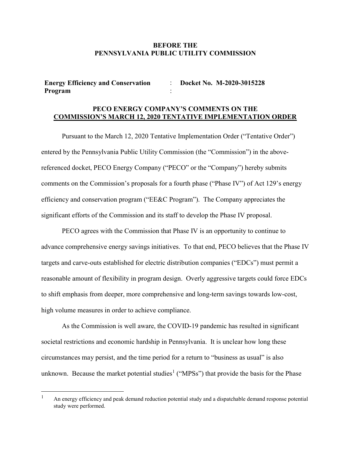### BEFORE THE PENNSYLVANIA PUBLIC UTILITY COMMISSION

| <b>Energy Efficiency and Conservation</b> |  | Docket No. M-2020-3015228 |
|-------------------------------------------|--|---------------------------|
| Program                                   |  |                           |

## PECO ENERGY COMPANY'S COMMENTS ON THE COMMISSION'S MARCH 12, 2020 TENTATIVE IMPLEMENTATION ORDER

Pursuant to the March 12, 2020 Tentative Implementation Order ("Tentative Order") entered by the Pennsylvania Public Utility Commission (the "Commission") in the abovereferenced docket, PECO Energy Company ("PECO" or the "Company") hereby submits comments on the Commission's proposals for a fourth phase ("Phase IV") of Act 129's energy efficiency and conservation program ("EE&C Program"). The Company appreciates the significant efforts of the Commission and its staff to develop the Phase IV proposal.

PECO agrees with the Commission that Phase IV is an opportunity to continue to advance comprehensive energy savings initiatives. To that end, PECO believes that the Phase IV targets and carve-outs established for electric distribution companies ("EDCs") must permit a reasonable amount of flexibility in program design. Overly aggressive targets could force EDCs to shift emphasis from deeper, more comprehensive and long-term savings towards low-cost, high volume measures in order to achieve compliance.

As the Commission is well aware, the COVID-19 pandemic has resulted in significant societal restrictions and economic hardship in Pennsylvania. It is unclear how long these circumstances may persist, and the time period for a return to "business as usual" is also unknown. Because the market potential studies<sup>1</sup> ("MPSs") that provide the basis for the Phase

<sup>1</sup> An energy efficiency and peak demand reduction potential study and a dispatchable demand response potential study were performed.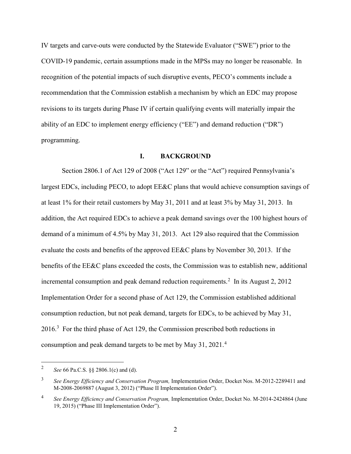IV targets and carve-outs were conducted by the Statewide Evaluator ("SWE") prior to the COVID-19 pandemic, certain assumptions made in the MPSs may no longer be reasonable. In recognition of the potential impacts of such disruptive events, PECO's comments include a recommendation that the Commission establish a mechanism by which an EDC may propose revisions to its targets during Phase IV if certain qualifying events will materially impair the ability of an EDC to implement energy efficiency ("EE") and demand reduction ("DR") programming.

#### I. BACKGROUND

Section 2806.1 of Act 129 of 2008 ("Act 129" or the "Act") required Pennsylvania's largest EDCs, including PECO, to adopt EE&C plans that would achieve consumption savings of at least 1% for their retail customers by May 31, 2011 and at least 3% by May 31, 2013. In addition, the Act required EDCs to achieve a peak demand savings over the 100 highest hours of demand of a minimum of 4.5% by May 31, 2013. Act 129 also required that the Commission evaluate the costs and benefits of the approved EE&C plans by November 30, 2013. If the benefits of the EE&C plans exceeded the costs, the Commission was to establish new, additional incremental consumption and peak demand reduction requirements.<sup>2</sup> In its August 2, 2012 Implementation Order for a second phase of Act 129, the Commission established additional consumption reduction, but not peak demand, targets for EDCs, to be achieved by May 31, 2016.<sup>3</sup> For the third phase of Act 129, the Commission prescribed both reductions in consumption and peak demand targets to be met by May 31, 2021.<sup>4</sup>

<sup>2</sup> See 66 Pa.C.S. §§ 2806.1(c) and (d).

<sup>3</sup> See Energy Efficiency and Conservation Program, Implementation Order, Docket Nos. M-2012-2289411 and M-2008-2069887 (August 3, 2012) ("Phase II Implementation Order").

<sup>4</sup> See Energy Efficiency and Conservation Program, Implementation Order, Docket No. M-2014-2424864 (June 19, 2015) ("Phase III Implementation Order").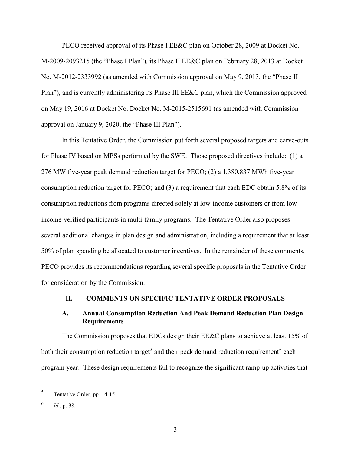PECO received approval of its Phase I EE&C plan on October 28, 2009 at Docket No. M-2009-2093215 (the "Phase I Plan"), its Phase II EE&C plan on February 28, 2013 at Docket No. M-2012-2333992 (as amended with Commission approval on May 9, 2013, the "Phase II Plan"), and is currently administering its Phase III EE&C plan, which the Commission approved on May 19, 2016 at Docket No. Docket No. M-2015-2515691 (as amended with Commission approval on January 9, 2020, the "Phase III Plan").

In this Tentative Order, the Commission put forth several proposed targets and carve-outs for Phase IV based on MPSs performed by the SWE. Those proposed directives include: (1) a 276 MW five-year peak demand reduction target for PECO; (2) a 1,380,837 MWh five-year consumption reduction target for PECO; and (3) a requirement that each EDC obtain 5.8% of its consumption reductions from programs directed solely at low-income customers or from lowincome-verified participants in multi-family programs. The Tentative Order also proposes several additional changes in plan design and administration, including a requirement that at least 50% of plan spending be allocated to customer incentives. In the remainder of these comments, PECO provides its recommendations regarding several specific proposals in the Tentative Order for consideration by the Commission.

#### II. COMMENTS ON SPECIFIC TENTATIVE ORDER PROPOSALS

### A. Annual Consumption Reduction And Peak Demand Reduction Plan Design **Requirements**

The Commission proposes that EDCs design their EE&C plans to achieve at least 15% of both their consumption reduction target<sup>5</sup> and their peak demand reduction requirement<sup>6</sup> each program year. These design requirements fail to recognize the significant ramp-up activities that

<sup>5</sup> Tentative Order, pp. 14-15.

<sup>6</sup> Id., p. 38.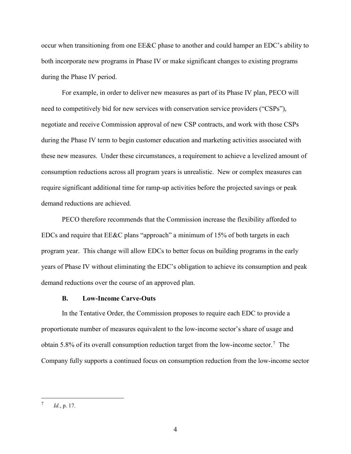occur when transitioning from one EE&C phase to another and could hamper an EDC's ability to both incorporate new programs in Phase IV or make significant changes to existing programs during the Phase IV period.

For example, in order to deliver new measures as part of its Phase IV plan, PECO will need to competitively bid for new services with conservation service providers ("CSPs"), negotiate and receive Commission approval of new CSP contracts, and work with those CSPs during the Phase IV term to begin customer education and marketing activities associated with these new measures. Under these circumstances, a requirement to achieve a levelized amount of consumption reductions across all program years is unrealistic. New or complex measures can require significant additional time for ramp-up activities before the projected savings or peak demand reductions are achieved.

PECO therefore recommends that the Commission increase the flexibility afforded to EDCs and require that EE&C plans "approach" a minimum of 15% of both targets in each program year. This change will allow EDCs to better focus on building programs in the early years of Phase IV without eliminating the EDC's obligation to achieve its consumption and peak demand reductions over the course of an approved plan.

#### B. Low-Income Carve-Outs

In the Tentative Order, the Commission proposes to require each EDC to provide a proportionate number of measures equivalent to the low-income sector's share of usage and obtain 5.8% of its overall consumption reduction target from the low-income sector.<sup>7</sup> The Company fully supports a continued focus on consumption reduction from the low-income sector

<sup>7</sup> Id., p. 17.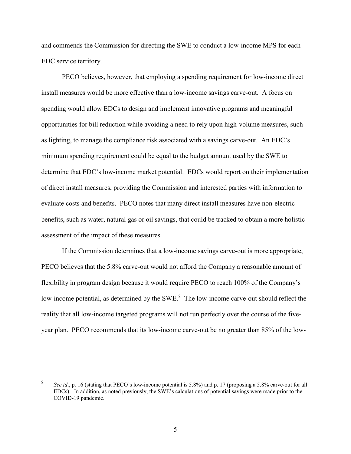and commends the Commission for directing the SWE to conduct a low-income MPS for each EDC service territory.

PECO believes, however, that employing a spending requirement for low-income direct install measures would be more effective than a low-income savings carve-out. A focus on spending would allow EDCs to design and implement innovative programs and meaningful opportunities for bill reduction while avoiding a need to rely upon high-volume measures, such as lighting, to manage the compliance risk associated with a savings carve-out. An EDC's minimum spending requirement could be equal to the budget amount used by the SWE to determine that EDC's low-income market potential. EDCs would report on their implementation of direct install measures, providing the Commission and interested parties with information to evaluate costs and benefits. PECO notes that many direct install measures have non-electric benefits, such as water, natural gas or oil savings, that could be tracked to obtain a more holistic assessment of the impact of these measures.

If the Commission determines that a low-income savings carve-out is more appropriate, PECO believes that the 5.8% carve-out would not afford the Company a reasonable amount of flexibility in program design because it would require PECO to reach 100% of the Company's low-income potential, as determined by the SWE.<sup>8</sup> The low-income carve-out should reflect the reality that all low-income targeted programs will not run perfectly over the course of the fiveyear plan. PECO recommends that its low-income carve-out be no greater than 85% of the low-

<sup>8</sup> See id., p. 16 (stating that PECO's low-income potential is 5.8%) and p. 17 (proposing a 5.8% carve-out for all EDCs). In addition, as noted previously, the SWE's calculations of potential savings were made prior to the COVID-19 pandemic.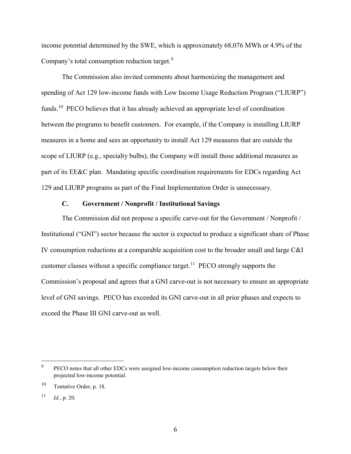income potential determined by the SWE, which is approximately 68,076 MWh or 4.9% of the Company's total consumption reduction target. $9$ 

The Commission also invited comments about harmonizing the management and spending of Act 129 low-income funds with Low Income Usage Reduction Program ("LIURP") funds.<sup>10</sup> PECO believes that it has already achieved an appropriate level of coordination between the programs to benefit customers. For example, if the Company is installing LIURP measures in a home and sees an opportunity to install Act 129 measures that are outside the scope of LIURP (e.g., specialty bulbs), the Company will install those additional measures as part of its EE&C plan. Mandating specific coordination requirements for EDCs regarding Act 129 and LIURP programs as part of the Final Implementation Order is unnecessary.

# C. Government / Nonprofit / Institutional Savings

The Commission did not propose a specific carve-out for the Government / Nonprofit / Institutional ("GNI") sector because the sector is expected to produce a significant share of Phase IV consumption reductions at a comparable acquisition cost to the broader small and large C&I customer classes without a specific compliance target.<sup>11</sup> PECO strongly supports the Commission's proposal and agrees that a GNI carve-out is not necessary to ensure an appropriate level of GNI savings. PECO has exceeded its GNI carve-out in all prior phases and expects to exceed the Phase III GNI carve-out as well.

<sup>9</sup> PECO notes that all other EDCs were assigned low-income consumption reduction targets below their projected low-income potential.

<sup>10</sup> Tentative Order, p. 18.

<sup>11</sup> Id., p. 20.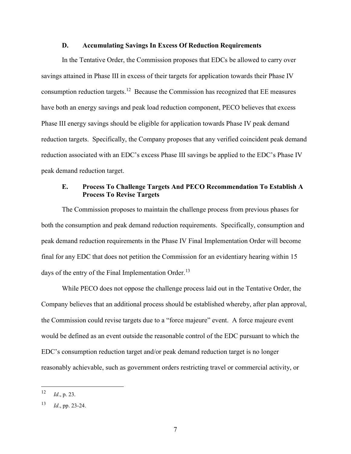#### D. Accumulating Savings In Excess Of Reduction Requirements

In the Tentative Order, the Commission proposes that EDCs be allowed to carry over savings attained in Phase III in excess of their targets for application towards their Phase IV consumption reduction targets.<sup>12</sup> Because the Commission has recognized that EE measures have both an energy savings and peak load reduction component, PECO believes that excess Phase III energy savings should be eligible for application towards Phase IV peak demand reduction targets. Specifically, the Company proposes that any verified coincident peak demand reduction associated with an EDC's excess Phase III savings be applied to the EDC's Phase IV peak demand reduction target.

## E. Process To Challenge Targets And PECO Recommendation To Establish A Process To Revise Targets

The Commission proposes to maintain the challenge process from previous phases for both the consumption and peak demand reduction requirements. Specifically, consumption and peak demand reduction requirements in the Phase IV Final Implementation Order will become final for any EDC that does not petition the Commission for an evidentiary hearing within 15 days of the entry of the Final Implementation Order.<sup>13</sup>

While PECO does not oppose the challenge process laid out in the Tentative Order, the Company believes that an additional process should be established whereby, after plan approval, the Commission could revise targets due to a "force majeure" event. A force majeure event would be defined as an event outside the reasonable control of the EDC pursuant to which the EDC's consumption reduction target and/or peak demand reduction target is no longer reasonably achievable, such as government orders restricting travel or commercial activity, or

<sup>12</sup> Id., p. 23.

<sup>13</sup> Id., pp. 23-24.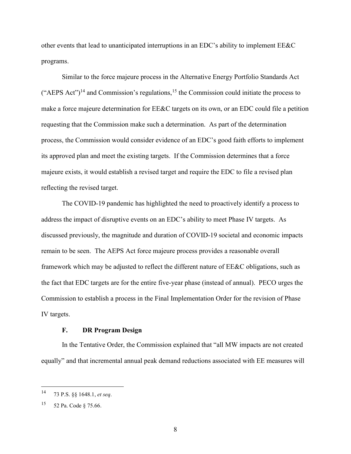other events that lead to unanticipated interruptions in an EDC's ability to implement EE&C programs.

Similar to the force majeure process in the Alternative Energy Portfolio Standards Act ("AEPS Act")<sup>14</sup> and Commission's regulations,<sup>15</sup> the Commission could initiate the process to make a force majeure determination for EE&C targets on its own, or an EDC could file a petition requesting that the Commission make such a determination. As part of the determination process, the Commission would consider evidence of an EDC's good faith efforts to implement its approved plan and meet the existing targets. If the Commission determines that a force majeure exists, it would establish a revised target and require the EDC to file a revised plan reflecting the revised target.

The COVID-19 pandemic has highlighted the need to proactively identify a process to address the impact of disruptive events on an EDC's ability to meet Phase IV targets. As discussed previously, the magnitude and duration of COVID-19 societal and economic impacts remain to be seen. The AEPS Act force majeure process provides a reasonable overall framework which may be adjusted to reflect the different nature of EE&C obligations, such as the fact that EDC targets are for the entire five-year phase (instead of annual). PECO urges the Commission to establish a process in the Final Implementation Order for the revision of Phase IV targets.

### F. DR Program Design

In the Tentative Order, the Commission explained that "all MW impacts are not created equally" and that incremental annual peak demand reductions associated with EE measures will

<sup>14</sup> 73 P.S. §§ 1648.1, et seq.

<sup>15</sup> 52 Pa. Code § 75.66.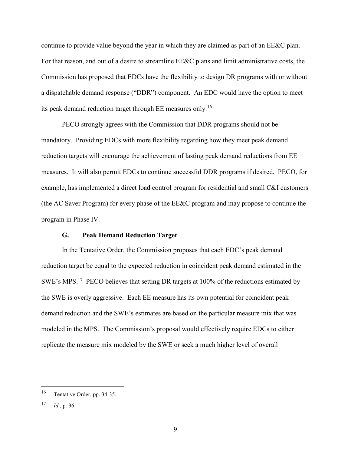continue to provide value beyond the year in which they are claimed as part of an EE&C plan. For that reason, and out of a desire to streamline EE&C plans and limit administrative costs, the Commission has proposed that EDCs have the flexibility to design DR programs with or without a dispatchable demand response ("DDR") component. An EDC would have the option to meet its peak demand reduction target through EE measures only.<sup>16</sup>

PECO strongly agrees with the Commission that DDR programs should not be mandatory. Providing EDCs with more flexibility regarding how they meet peak demand reduction targets will encourage the achievement of lasting peak demand reductions from EE measures. It will also permit EDCs to continue successful DDR programs if desired. PECO, for example, has implemented a direct load control program for residential and small C&I customers (the AC Saver Program) for every phase of the EE&C program and may propose to continue the program in Phase IV.

#### G. Peak Demand Reduction Target

In the Tentative Order, the Commission proposes that each EDC's peak demand reduction target be equal to the expected reduction in coincident peak demand estimated in the SWE's MPS.<sup>17</sup> PECO believes that setting DR targets at 100% of the reductions estimated by the SWE is overly aggressive. Each EE measure has its own potential for coincident peak demand reduction and the SWE's estimates are based on the particular measure mix that was modeled in the MPS. The Commission's proposal would effectively require EDCs to either replicate the measure mix modeled by the SWE or seek a much higher level of overall

<sup>16</sup> Tentative Order, pp. 34-35.

<sup>17</sup> Id., p. 36.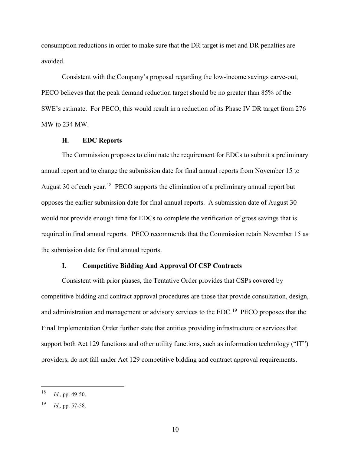consumption reductions in order to make sure that the DR target is met and DR penalties are avoided.

Consistent with the Company's proposal regarding the low-income savings carve-out, PECO believes that the peak demand reduction target should be no greater than 85% of the SWE's estimate. For PECO, this would result in a reduction of its Phase IV DR target from 276 MW to 234 MW.

#### H. EDC Reports

The Commission proposes to eliminate the requirement for EDCs to submit a preliminary annual report and to change the submission date for final annual reports from November 15 to August 30 of each year.<sup>18</sup> PECO supports the elimination of a preliminary annual report but opposes the earlier submission date for final annual reports. A submission date of August 30 would not provide enough time for EDCs to complete the verification of gross savings that is required in final annual reports. PECO recommends that the Commission retain November 15 as the submission date for final annual reports.

### I. Competitive Bidding And Approval Of CSP Contracts

Consistent with prior phases, the Tentative Order provides that CSPs covered by competitive bidding and contract approval procedures are those that provide consultation, design, and administration and management or advisory services to the EDC.<sup>19</sup> PECO proposes that the Final Implementation Order further state that entities providing infrastructure or services that support both Act 129 functions and other utility functions, such as information technology ("IT") providers, do not fall under Act 129 competitive bidding and contract approval requirements.

<sup>18</sup> Id., pp. 49-50.

<sup>19</sup> Id., pp. 57-58.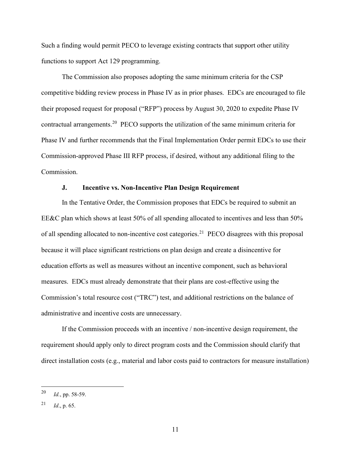Such a finding would permit PECO to leverage existing contracts that support other utility functions to support Act 129 programming.

The Commission also proposes adopting the same minimum criteria for the CSP competitive bidding review process in Phase IV as in prior phases. EDCs are encouraged to file their proposed request for proposal ("RFP") process by August 30, 2020 to expedite Phase IV contractual arrangements.<sup>20</sup> PECO supports the utilization of the same minimum criteria for Phase IV and further recommends that the Final Implementation Order permit EDCs to use their Commission-approved Phase III RFP process, if desired, without any additional filing to the Commission.

## J. Incentive vs. Non-Incentive Plan Design Requirement

In the Tentative Order, the Commission proposes that EDCs be required to submit an EE&C plan which shows at least 50% of all spending allocated to incentives and less than 50% of all spending allocated to non-incentive cost categories.<sup>21</sup> PECO disagrees with this proposal because it will place significant restrictions on plan design and create a disincentive for education efforts as well as measures without an incentive component, such as behavioral measures. EDCs must already demonstrate that their plans are cost-effective using the Commission's total resource cost ("TRC") test, and additional restrictions on the balance of administrative and incentive costs are unnecessary.

If the Commission proceeds with an incentive / non-incentive design requirement, the requirement should apply only to direct program costs and the Commission should clarify that direct installation costs (e.g., material and labor costs paid to contractors for measure installation)

<sup>20</sup> Id., pp. 58-59.

<sup>21</sup> Id., p. 65.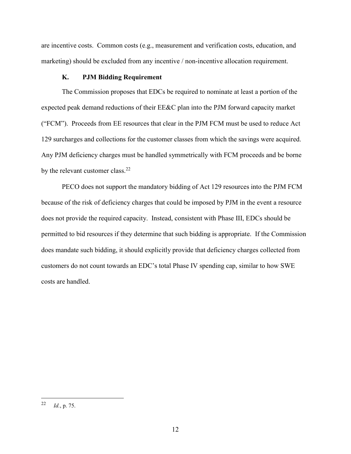are incentive costs. Common costs (e.g., measurement and verification costs, education, and marketing) should be excluded from any incentive / non-incentive allocation requirement.

## K. PJM Bidding Requirement

The Commission proposes that EDCs be required to nominate at least a portion of the expected peak demand reductions of their EE&C plan into the PJM forward capacity market ("FCM"). Proceeds from EE resources that clear in the PJM FCM must be used to reduce Act 129 surcharges and collections for the customer classes from which the savings were acquired. Any PJM deficiency charges must be handled symmetrically with FCM proceeds and be borne by the relevant customer class.<sup>22</sup>

PECO does not support the mandatory bidding of Act 129 resources into the PJM FCM because of the risk of deficiency charges that could be imposed by PJM in the event a resource does not provide the required capacity. Instead, consistent with Phase III, EDCs should be permitted to bid resources if they determine that such bidding is appropriate. If the Commission does mandate such bidding, it should explicitly provide that deficiency charges collected from customers do not count towards an EDC's total Phase IV spending cap, similar to how SWE costs are handled.

<sup>22</sup> Id., p. 75.